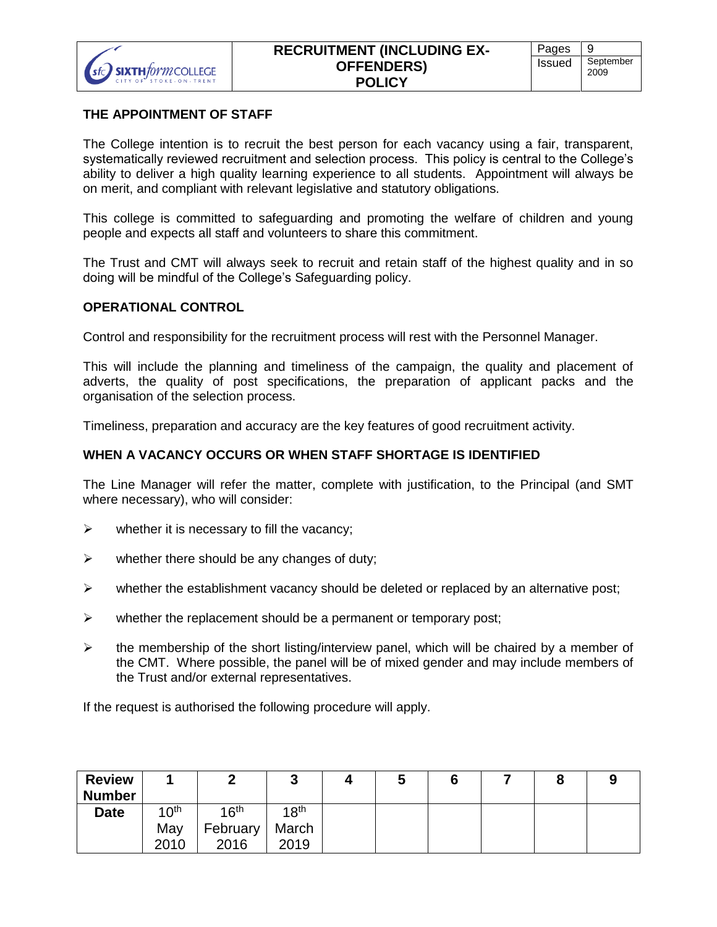

#### **THE APPOINTMENT OF STAFF**

The College intention is to recruit the best person for each vacancy using a fair, transparent, systematically reviewed recruitment and selection process. This policy is central to the College's ability to deliver a high quality learning experience to all students. Appointment will always be on merit, and compliant with relevant legislative and statutory obligations.

This college is committed to safeguarding and promoting the welfare of children and young people and expects all staff and volunteers to share this commitment.

The Trust and CMT will always seek to recruit and retain staff of the highest quality and in so doing will be mindful of the College's Safeguarding policy.

### **OPERATIONAL CONTROL**

Control and responsibility for the recruitment process will rest with the Personnel Manager.

This will include the planning and timeliness of the campaign, the quality and placement of adverts, the quality of post specifications, the preparation of applicant packs and the organisation of the selection process.

Timeliness, preparation and accuracy are the key features of good recruitment activity.

#### **WHEN A VACANCY OCCURS OR WHEN STAFF SHORTAGE IS IDENTIFIED**

The Line Manager will refer the matter, complete with justification, to the Principal (and SMT where necessary), who will consider:

- $\triangleright$  whether it is necessary to fill the vacancy;
- $\triangleright$  whether there should be any changes of duty;
- $\triangleright$  whether the establishment vacancy should be deleted or replaced by an alternative post;
- $\triangleright$  whether the replacement should be a permanent or temporary post;
- $\triangleright$  the membership of the short listing/interview panel, which will be chaired by a member of the CMT. Where possible, the panel will be of mixed gender and may include members of the Trust and/or external representatives.

If the request is authorised the following procedure will apply.

| <b>Review</b> |                  |                  | ◠<br>J           | w | O | o |  |
|---------------|------------------|------------------|------------------|---|---|---|--|
| <b>Number</b> |                  |                  |                  |   |   |   |  |
| <b>Date</b>   | 10 <sup>th</sup> | 16 <sup>th</sup> | 18 <sup>th</sup> |   |   |   |  |
|               | May              | February         | March            |   |   |   |  |
|               | 2010             | 2016             | 2019             |   |   |   |  |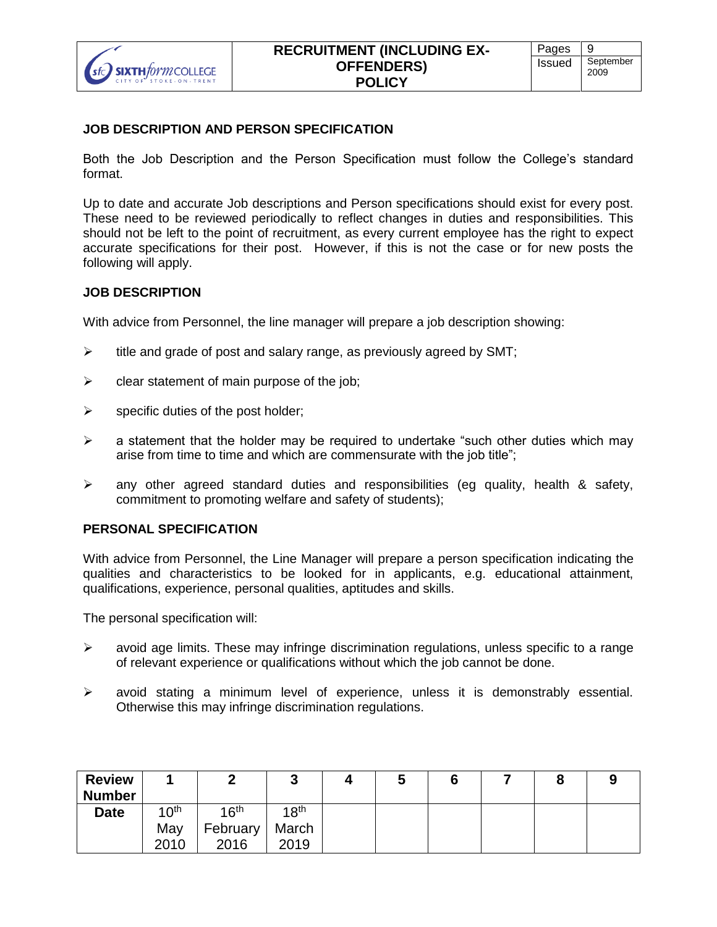

#### **JOB DESCRIPTION AND PERSON SPECIFICATION**

Both the Job Description and the Person Specification must follow the College's standard format.

Up to date and accurate Job descriptions and Person specifications should exist for every post. These need to be reviewed periodically to reflect changes in duties and responsibilities. This should not be left to the point of recruitment, as every current employee has the right to expect accurate specifications for their post. However, if this is not the case or for new posts the following will apply.

### **JOB DESCRIPTION**

With advice from Personnel, the line manager will prepare a job description showing:

- $\triangleright$  title and grade of post and salary range, as previously agreed by SMT;
- $\triangleright$  clear statement of main purpose of the job;
- $\triangleright$  specific duties of the post holder;
- $\triangleright$  a statement that the holder may be required to undertake "such other duties which may arise from time to time and which are commensurate with the job title";
- $\triangleright$  any other agreed standard duties and responsibilities (eg quality, health & safety, commitment to promoting welfare and safety of students);

#### **PERSONAL SPECIFICATION**

With advice from Personnel, the Line Manager will prepare a person specification indicating the qualities and characteristics to be looked for in applicants, e.g. educational attainment, qualifications, experience, personal qualities, aptitudes and skills.

The personal specification will:

- $\triangleright$  avoid age limits. These may infringe discrimination regulations, unless specific to a range of relevant experience or qualifications without which the job cannot be done.
- avoid stating a minimum level of experience, unless it is demonstrably essential. Otherwise this may infringe discrimination regulations.

| <b>Review</b><br><b>Number</b> |                  |                  | ◠<br>J           | w | o |  |  |
|--------------------------------|------------------|------------------|------------------|---|---|--|--|
| <b>Date</b>                    | 10 <sup>th</sup> | 16 <sup>th</sup> | 18 <sup>th</sup> |   |   |  |  |
|                                | May              | February         | March            |   |   |  |  |
|                                | 2010             | 2016             | 2019             |   |   |  |  |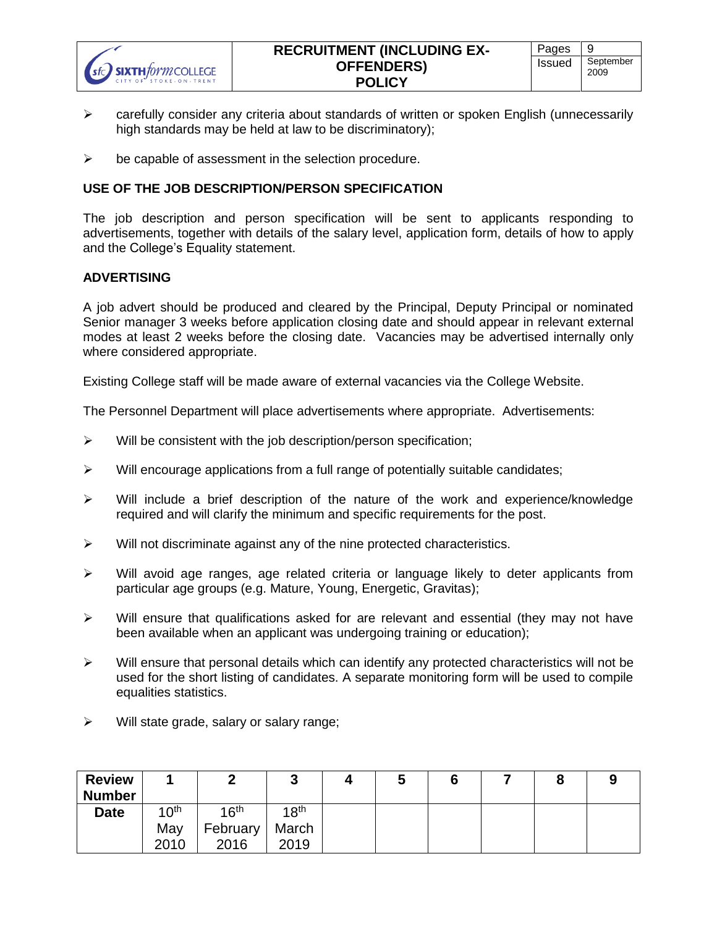- carefully consider any criteria about standards of written or spoken English (unnecessarily high standards may be held at law to be discriminatory);
- $\triangleright$  be capable of assessment in the selection procedure.

## **USE OF THE JOB DESCRIPTION/PERSON SPECIFICATION**

The job description and person specification will be sent to applicants responding to advertisements, together with details of the salary level, application form, details of how to apply and the College's Equality statement.

#### **ADVERTISING**

A job advert should be produced and cleared by the Principal, Deputy Principal or nominated Senior manager 3 weeks before application closing date and should appear in relevant external modes at least 2 weeks before the closing date. Vacancies may be advertised internally only where considered appropriate.

Existing College staff will be made aware of external vacancies via the College Website.

The Personnel Department will place advertisements where appropriate. Advertisements:

- $\triangleright$  Will be consistent with the job description/person specification;
- $\triangleright$  Will encourage applications from a full range of potentially suitable candidates;
- $\triangleright$  Will include a brief description of the nature of the work and experience/knowledge required and will clarify the minimum and specific requirements for the post.
- $\triangleright$  Will not discriminate against any of the nine protected characteristics.
- $\triangleright$  Will avoid age ranges, age related criteria or language likely to deter applicants from particular age groups (e.g. Mature, Young, Energetic, Gravitas);
- $\triangleright$  Will ensure that qualifications asked for are relevant and essential (they may not have been available when an applicant was undergoing training or education);
- $\triangleright$  Will ensure that personal details which can identify any protected characteristics will not be used for the short listing of candidates. A separate monitoring form will be used to compile equalities statistics.
- $\triangleright$  Will state grade, salary or salary range;

| <b>Review</b> |                  |                  | ◠<br>J           | w | o | O |  |
|---------------|------------------|------------------|------------------|---|---|---|--|
| <b>Number</b> |                  |                  |                  |   |   |   |  |
| <b>Date</b>   | 10 <sup>th</sup> | 16 <sup>th</sup> | 1R <sup>th</sup> |   |   |   |  |
|               | May              | February         | March            |   |   |   |  |
|               | 2010             | 2016             | 2019             |   |   |   |  |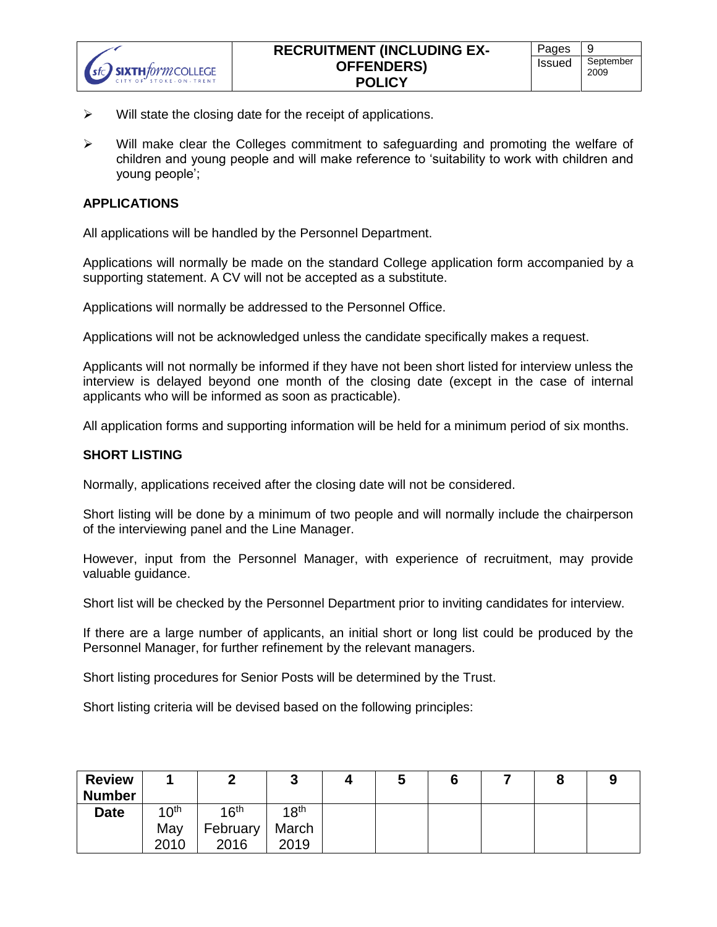- $\triangleright$  Will state the closing date for the receipt of applications.
- $\triangleright$  Will make clear the Colleges commitment to safeguarding and promoting the welfare of children and young people and will make reference to 'suitability to work with children and young people';

### **APPLICATIONS**

SIXTH*form* COLLEGE

All applications will be handled by the Personnel Department.

Applications will normally be made on the standard College application form accompanied by a supporting statement. A CV will not be accepted as a substitute.

Applications will normally be addressed to the Personnel Office.

Applications will not be acknowledged unless the candidate specifically makes a request.

Applicants will not normally be informed if they have not been short listed for interview unless the interview is delayed beyond one month of the closing date (except in the case of internal applicants who will be informed as soon as practicable).

All application forms and supporting information will be held for a minimum period of six months.

#### **SHORT LISTING**

Normally, applications received after the closing date will not be considered.

Short listing will be done by a minimum of two people and will normally include the chairperson of the interviewing panel and the Line Manager.

However, input from the Personnel Manager, with experience of recruitment, may provide valuable guidance.

Short list will be checked by the Personnel Department prior to inviting candidates for interview.

If there are a large number of applicants, an initial short or long list could be produced by the Personnel Manager, for further refinement by the relevant managers.

Short listing procedures for Senior Posts will be determined by the Trust.

Short listing criteria will be devised based on the following principles:

| <b>Review</b> |                  |          | ν                | ν |  |  |
|---------------|------------------|----------|------------------|---|--|--|
| <b>Number</b> |                  |          |                  |   |  |  |
| <b>Date</b>   | 10 <sup>th</sup> | 1 $6th$  | 18 <sup>th</sup> |   |  |  |
|               | May              | February | March            |   |  |  |
|               | 2010             | 2016     | 2019             |   |  |  |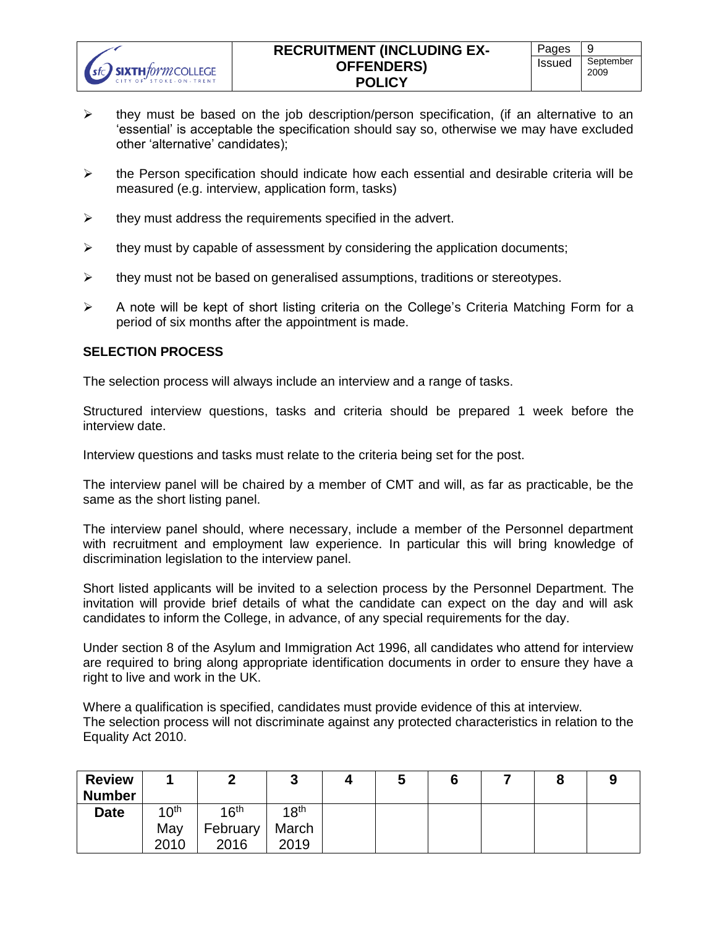- $\triangleright$  they must be based on the job description/person specification, (if an alternative to an 'essential' is acceptable the specification should say so, otherwise we may have excluded other 'alternative' candidates);
- $\triangleright$  the Person specification should indicate how each essential and desirable criteria will be measured (e.g. interview, application form, tasks)
- $\triangleright$  they must address the requirements specified in the advert.
- $\triangleright$  they must by capable of assessment by considering the application documents;
- $\triangleright$  they must not be based on generalised assumptions, traditions or stereotypes.
- $\triangleright$  A note will be kept of short listing criteria on the College's Criteria Matching Form for a period of six months after the appointment is made.

### **SELECTION PROCESS**

The selection process will always include an interview and a range of tasks.

Structured interview questions, tasks and criteria should be prepared 1 week before the interview date.

Interview questions and tasks must relate to the criteria being set for the post.

The interview panel will be chaired by a member of CMT and will, as far as practicable, be the same as the short listing panel.

The interview panel should, where necessary, include a member of the Personnel department with recruitment and employment law experience. In particular this will bring knowledge of discrimination legislation to the interview panel.

Short listed applicants will be invited to a selection process by the Personnel Department. The invitation will provide brief details of what the candidate can expect on the day and will ask candidates to inform the College, in advance, of any special requirements for the day.

Under section 8 of the Asylum and Immigration Act 1996, all candidates who attend for interview are required to bring along appropriate identification documents in order to ensure they have a right to live and work in the UK.

Where a qualification is specified, candidates must provide evidence of this at interview. The selection process will not discriminate against any protected characteristics in relation to the Equality Act 2010.

| <b>Review</b> |                  |                  | ◠<br>J           |  | O |  |  |
|---------------|------------------|------------------|------------------|--|---|--|--|
| <b>Number</b> |                  |                  |                  |  |   |  |  |
| <b>Date</b>   | 10 <sup>th</sup> | 16 <sup>th</sup> | 18 <sup>th</sup> |  |   |  |  |
|               | May              | <b>February</b>  | March            |  |   |  |  |
|               | 2010             | 2016             | 2019             |  |   |  |  |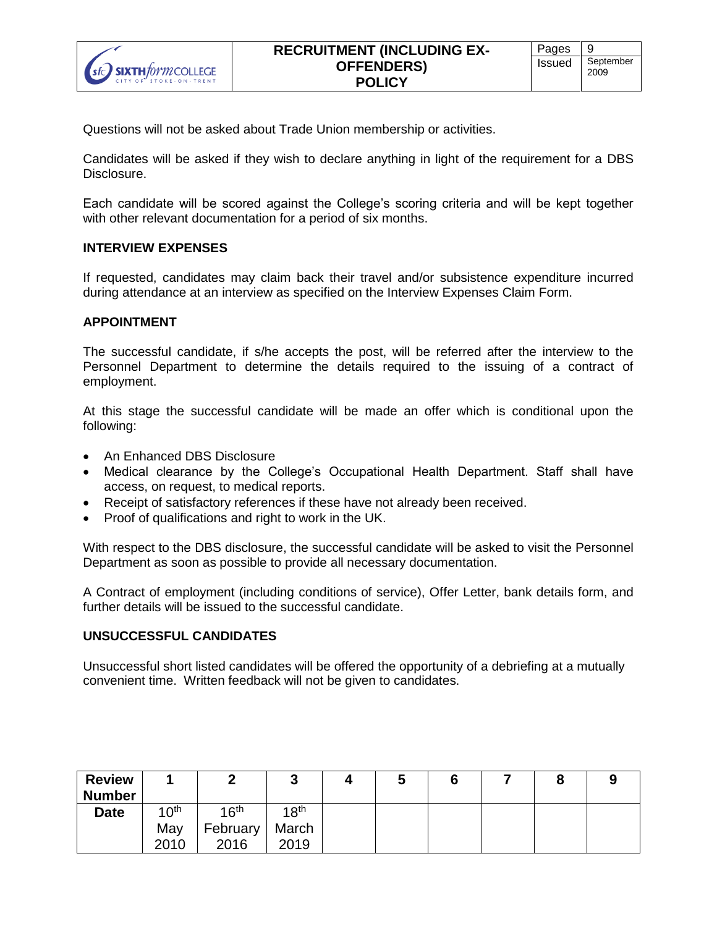

Questions will not be asked about Trade Union membership or activities.

Candidates will be asked if they wish to declare anything in light of the requirement for a DBS Disclosure.

Each candidate will be scored against the College's scoring criteria and will be kept together with other relevant documentation for a period of six months.

#### **INTERVIEW EXPENSES**

If requested, candidates may claim back their travel and/or subsistence expenditure incurred during attendance at an interview as specified on the Interview Expenses Claim Form.

#### **APPOINTMENT**

The successful candidate, if s/he accepts the post, will be referred after the interview to the Personnel Department to determine the details required to the issuing of a contract of employment.

At this stage the successful candidate will be made an offer which is conditional upon the following:

- An Enhanced DBS Disclosure
- Medical clearance by the College's Occupational Health Department. Staff shall have access, on request, to medical reports.
- Receipt of satisfactory references if these have not already been received.
- Proof of qualifications and right to work in the UK.

With respect to the DBS disclosure, the successful candidate will be asked to visit the Personnel Department as soon as possible to provide all necessary documentation.

A Contract of employment (including conditions of service), Offer Letter, bank details form, and further details will be issued to the successful candidate.

#### **UNSUCCESSFUL CANDIDATES**

Unsuccessful short listed candidates will be offered the opportunity of a debriefing at a mutually convenient time. Written feedback will not be given to candidates.

| <b>Review</b> |                  |          | G<br>ν           | ν | O |  |  |
|---------------|------------------|----------|------------------|---|---|--|--|
| <b>Number</b> |                  |          |                  |   |   |  |  |
| <b>Date</b>   | 10 <sup>th</sup> | 1 $6th$  | 18 <sup>th</sup> |   |   |  |  |
|               | May              | February | March            |   |   |  |  |
|               | 2010             | 2016     | 2019             |   |   |  |  |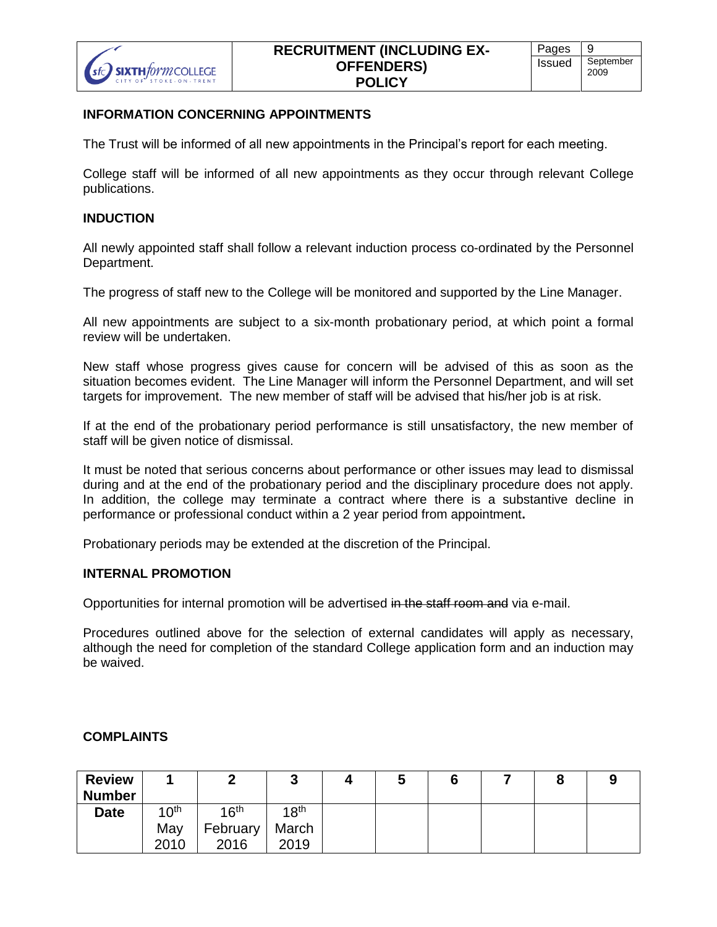

#### **INFORMATION CONCERNING APPOINTMENTS**

The Trust will be informed of all new appointments in the Principal's report for each meeting.

College staff will be informed of all new appointments as they occur through relevant College publications.

#### **INDUCTION**

All newly appointed staff shall follow a relevant induction process co-ordinated by the Personnel Department.

The progress of staff new to the College will be monitored and supported by the Line Manager.

All new appointments are subject to a six-month probationary period, at which point a formal review will be undertaken.

New staff whose progress gives cause for concern will be advised of this as soon as the situation becomes evident. The Line Manager will inform the Personnel Department, and will set targets for improvement. The new member of staff will be advised that his/her job is at risk.

If at the end of the probationary period performance is still unsatisfactory, the new member of staff will be given notice of dismissal.

It must be noted that serious concerns about performance or other issues may lead to dismissal during and at the end of the probationary period and the disciplinary procedure does not apply. In addition, the college may terminate a contract where there is a substantive decline in performance or professional conduct within a 2 year period from appointment**.**

Probationary periods may be extended at the discretion of the Principal.

### **INTERNAL PROMOTION**

Opportunities for internal promotion will be advertised in the staff room and via e-mail.

Procedures outlined above for the selection of external candidates will apply as necessary, although the need for completion of the standard College application form and an induction may be waived.

#### **COMPLAINTS**

| <b>Review</b> |                           |          | ◠<br>J           | w | O |  |  |
|---------------|---------------------------|----------|------------------|---|---|--|--|
| <b>Number</b> |                           |          |                  |   |   |  |  |
| <b>Date</b>   | 1 $\Lambda$ <sup>th</sup> | 1 $6th$  | 18 <sup>th</sup> |   |   |  |  |
|               | May                       | February | March            |   |   |  |  |
|               | 2010                      | 2016     | 2019             |   |   |  |  |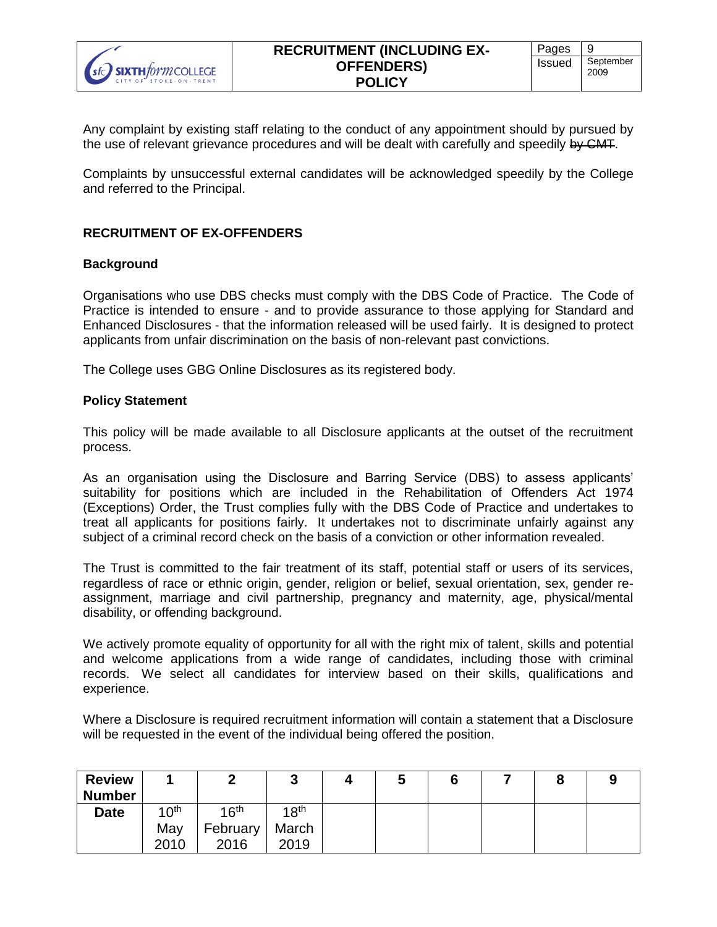

Any complaint by existing staff relating to the conduct of any appointment should by pursued by the use of relevant grievance procedures and will be dealt with carefully and speedily by CMT.

Complaints by unsuccessful external candidates will be acknowledged speedily by the College and referred to the Principal.

### **RECRUITMENT OF EX-OFFENDERS**

### **Background**

Organisations who use DBS checks must comply with the DBS Code of Practice. The Code of Practice is intended to ensure - and to provide assurance to those applying for Standard and Enhanced Disclosures - that the information released will be used fairly. It is designed to protect applicants from unfair discrimination on the basis of non-relevant past convictions.

The College uses GBG Online Disclosures as its registered body.

#### **Policy Statement**

This policy will be made available to all Disclosure applicants at the outset of the recruitment process.

As an organisation using the Disclosure and Barring Service (DBS) to assess applicants' suitability for positions which are included in the Rehabilitation of Offenders Act 1974 (Exceptions) Order, the Trust complies fully with the DBS Code of Practice and undertakes to treat all applicants for positions fairly. It undertakes not to discriminate unfairly against any subject of a criminal record check on the basis of a conviction or other information revealed.

The Trust is committed to the fair treatment of its staff, potential staff or users of its services, regardless of race or ethnic origin, gender, religion or belief, sexual orientation, sex, gender reassignment, marriage and civil partnership, pregnancy and maternity, age, physical/mental disability, or offending background.

We actively promote equality of opportunity for all with the right mix of talent, skills and potential and welcome applications from a wide range of candidates, including those with criminal records. We select all candidates for interview based on their skills, qualifications and experience.

Where a Disclosure is required recruitment information will contain a statement that a Disclosure will be requested in the event of the individual being offered the position.

| <b>Review</b><br><b>Number</b> |                  | -                | ◠<br>ν           | w | O |  |  |
|--------------------------------|------------------|------------------|------------------|---|---|--|--|
| <b>Date</b>                    | 10 <sup>th</sup> | 16 <sup>th</sup> | 18 <sup>th</sup> |   |   |  |  |
|                                | May              | February         | March            |   |   |  |  |
|                                | 2010             | 2016             | 2019             |   |   |  |  |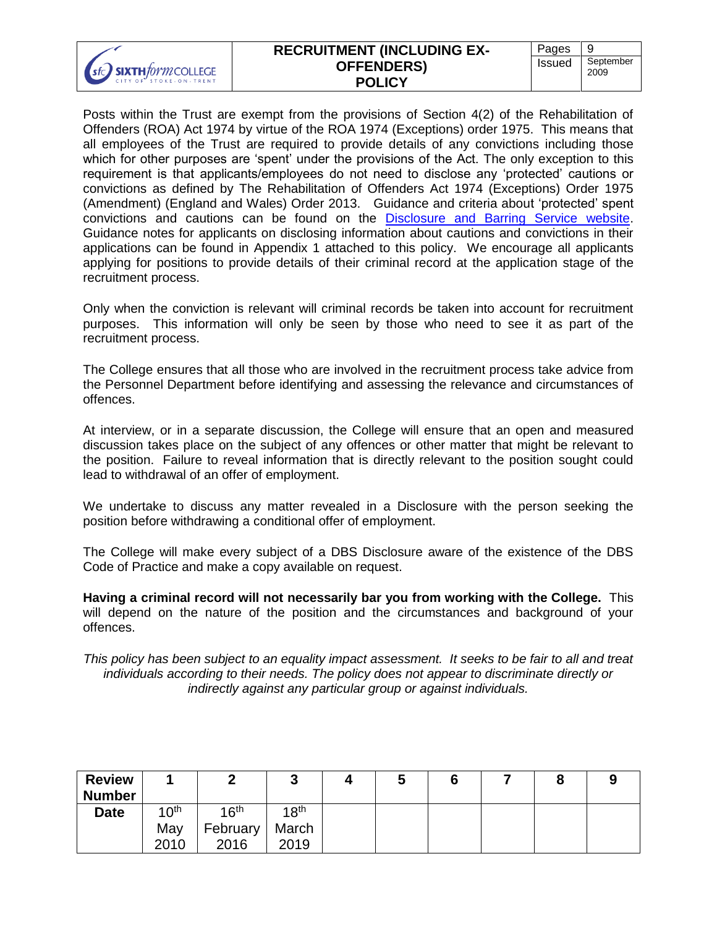| Pages             |
|-------------------|
| September<br>2009 |
| <b>Issued</b>     |

Posts within the Trust are exempt from the provisions of Section 4(2) of the Rehabilitation of Offenders (ROA) Act 1974 by virtue of the ROA 1974 (Exceptions) order 1975. This means that all employees of the Trust are required to provide details of any convictions including those which for other purposes are 'spent' under the provisions of the Act. The only exception to this requirement is that applicants/employees do not need to disclose any 'protected' cautions or convictions as defined by The Rehabilitation of Offenders Act 1974 (Exceptions) Order 1975 (Amendment) (England and Wales) Order 2013. Guidance and criteria about 'protected' spent convictions and cautions can be found on the [Disclosure and Barring Service website.](https://www.gov.uk/government/organisations/disclosure-and-barring-service) Guidance notes for applicants on disclosing information about cautions and convictions in their applications can be found in Appendix 1 attached to this policy. We encourage all applicants applying for positions to provide details of their criminal record at the application stage of the recruitment process.

Only when the conviction is relevant will criminal records be taken into account for recruitment purposes. This information will only be seen by those who need to see it as part of the recruitment process.

The College ensures that all those who are involved in the recruitment process take advice from the Personnel Department before identifying and assessing the relevance and circumstances of offences.

At interview, or in a separate discussion, the College will ensure that an open and measured discussion takes place on the subject of any offences or other matter that might be relevant to the position. Failure to reveal information that is directly relevant to the position sought could lead to withdrawal of an offer of employment.

We undertake to discuss any matter revealed in a Disclosure with the person seeking the position before withdrawing a conditional offer of employment.

The College will make every subject of a DBS Disclosure aware of the existence of the DBS Code of Practice and make a copy available on request.

**Having a criminal record will not necessarily bar you from working with the College.** This will depend on the nature of the position and the circumstances and background of your offences.

*This policy has been subject to an equality impact assessment. It seeks to be fair to all and treat individuals according to their needs. The policy does not appear to discriminate directly or indirectly against any particular group or against individuals.*

| <b>Review</b> |                  |                  | ັ                | w |  | Q |  |
|---------------|------------------|------------------|------------------|---|--|---|--|
| <b>Number</b> |                  |                  |                  |   |  |   |  |
| <b>Date</b>   | 10 <sup>th</sup> | 16 <sup>th</sup> | 18 <sup>th</sup> |   |  |   |  |
|               | May              | February         | March            |   |  |   |  |
|               | 2010             | 2016             | 2019             |   |  |   |  |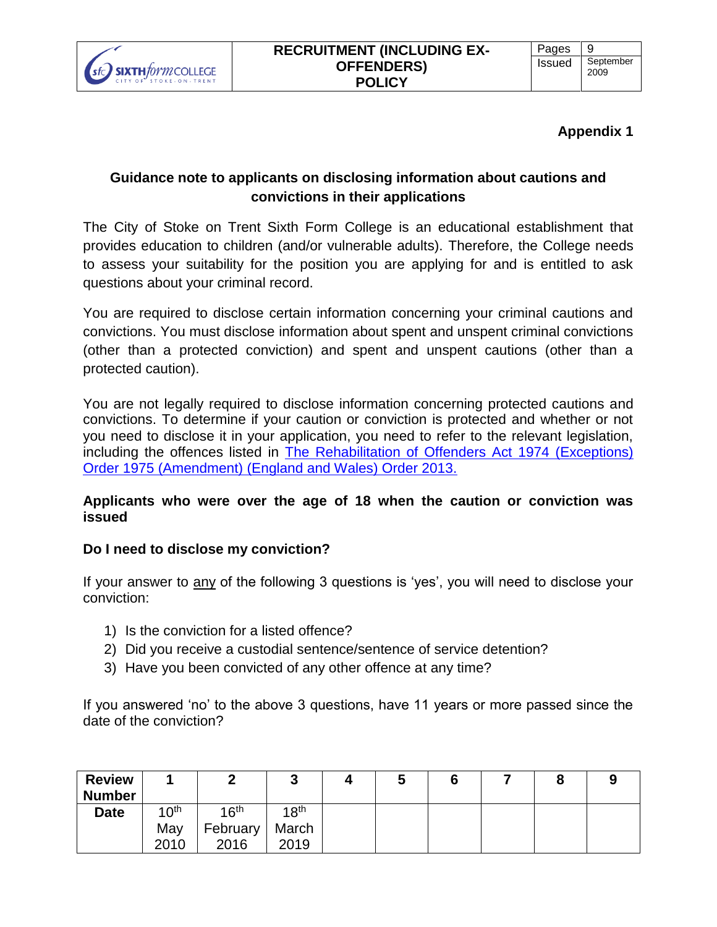

# **Appendix 1**

# **Guidance note to applicants on disclosing information about cautions and convictions in their applications**

The City of Stoke on Trent Sixth Form College is an educational establishment that provides education to children (and/or vulnerable adults). Therefore, the College needs to assess your suitability for the position you are applying for and is entitled to ask questions about your criminal record.

You are required to disclose certain information concerning your criminal cautions and convictions. You must disclose information about spent and unspent criminal convictions (other than a protected conviction) and spent and unspent cautions (other than a protected caution).

You are not legally required to disclose information concerning protected cautions and convictions. To determine if your caution or conviction is protected and whether or not you need to disclose it in your application, you need to refer to the relevant legislation, including the offences listed in [The Rehabilitation of Offenders Act 1974 \(Exceptions\)](http://www.legislation.gov.uk/uksi/2013/1198/made)  [Order 1975 \(Amendment\) \(England and Wales\) Order 2013.](http://www.legislation.gov.uk/uksi/2013/1198/made)

# **Applicants who were over the age of 18 when the caution or conviction was issued**

# **Do I need to disclose my conviction?**

If your answer to any of the following 3 questions is 'yes', you will need to disclose your conviction:

- 1) Is the conviction for a listed offence?
- 2) Did you receive a custodial sentence/sentence of service detention?
- 3) Have you been convicted of any other offence at any time?

If you answered 'no' to the above 3 questions, have 11 years or more passed since the date of the conviction?

| <b>Review</b><br><b>Number</b> |                  |                  | Ð<br>ν           | v |  |  |
|--------------------------------|------------------|------------------|------------------|---|--|--|
| <b>Date</b>                    | 10 <sup>th</sup> | $16^{\text{th}}$ | 18 <sup>th</sup> |   |  |  |
|                                | May              | February         | March            |   |  |  |
|                                | 2010             | 2016             | 2019             |   |  |  |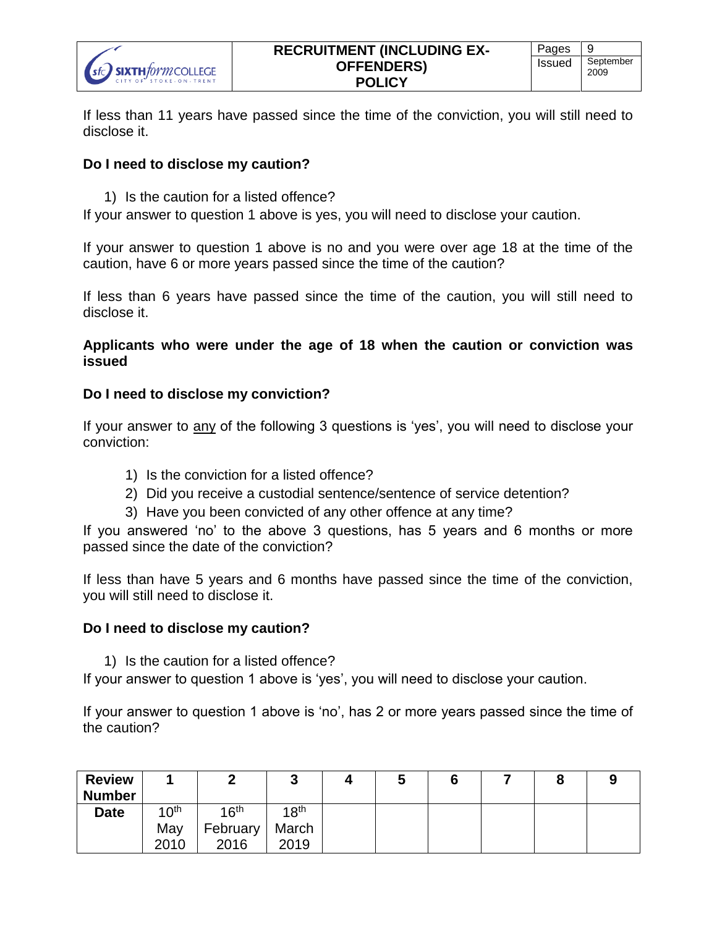

If less than 11 years have passed since the time of the conviction, you will still need to disclose it.

## **Do I need to disclose my caution?**

1) Is the caution for a listed offence?

If your answer to question 1 above is yes, you will need to disclose your caution.

If your answer to question 1 above is no and you were over age 18 at the time of the caution, have 6 or more years passed since the time of the caution?

If less than 6 years have passed since the time of the caution, you will still need to disclose it.

**Applicants who were under the age of 18 when the caution or conviction was issued**

## **Do I need to disclose my conviction?**

If your answer to any of the following 3 questions is 'yes', you will need to disclose your conviction:

- 1) Is the conviction for a listed offence?
- 2) Did you receive a custodial sentence/sentence of service detention?
- 3) Have you been convicted of any other offence at any time?

If you answered 'no' to the above 3 questions, has 5 years and 6 months or more passed since the date of the conviction?

If less than have 5 years and 6 months have passed since the time of the conviction, you will still need to disclose it.

## **Do I need to disclose my caution?**

1) Is the caution for a listed offence?

If your answer to question 1 above is 'yes', you will need to disclose your caution.

If your answer to question 1 above is 'no', has 2 or more years passed since the time of the caution?

| <b>Review</b><br><b>Number</b> |                  |                  | ◠<br>J           | w |  |  |
|--------------------------------|------------------|------------------|------------------|---|--|--|
| <b>Date</b>                    | 10 <sup>th</sup> | 16 <sup>th</sup> | 18 <sup>th</sup> |   |  |  |
|                                | May              | February         | March            |   |  |  |
|                                | 2010             | 2016             | 2019             |   |  |  |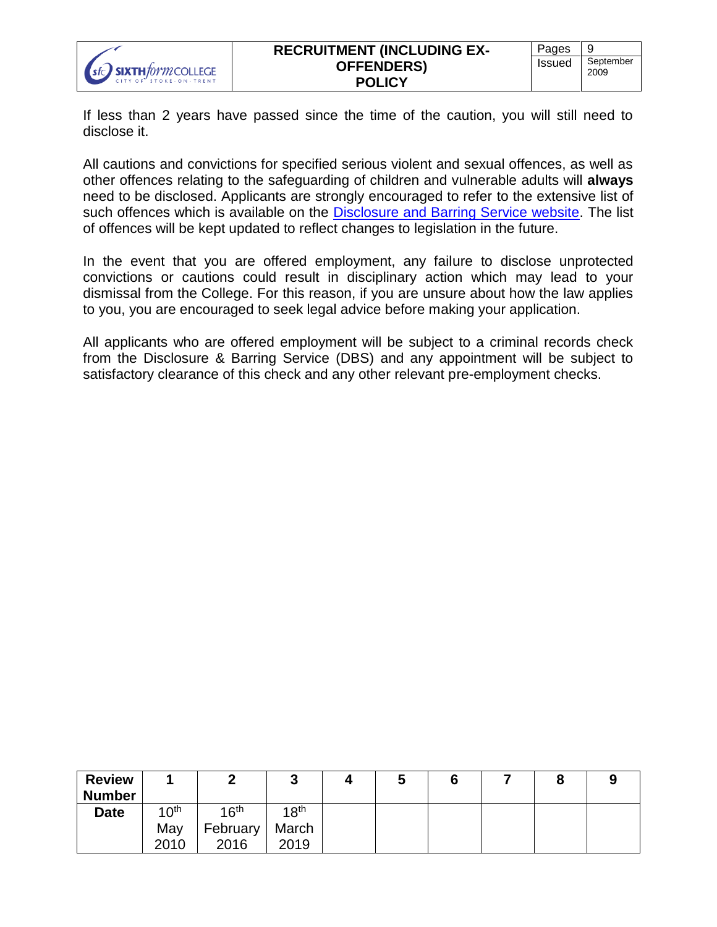If less than 2 years have passed since the time of the caution, you will still need to disclose it.

All cautions and convictions for specified serious violent and sexual offences, as well as other offences relating to the safeguarding of children and vulnerable adults will **always** need to be disclosed. Applicants are strongly encouraged to refer to the extensive list of such offences which is available on the [Disclosure and Barring Service website.](https://www.gov.uk/government/news/dbs-filter-certain-old-and-minor-cautions-and-convictions-reprimands-and-warnings-from-criminal-record-certificates) The list of offences will be kept updated to reflect changes to legislation in the future.

In the event that you are offered employment, any failure to disclose unprotected convictions or cautions could result in disciplinary action which may lead to your dismissal from the College. For this reason, if you are unsure about how the law applies to you, you are encouraged to seek legal advice before making your application.

All applicants who are offered employment will be subject to a criminal records check from the Disclosure & Barring Service (DBS) and any appointment will be subject to satisfactory clearance of this check and any other relevant pre-employment checks.

| <b>Review</b> |                  |                  | ν                |  |  |  |
|---------------|------------------|------------------|------------------|--|--|--|
| <b>Number</b> |                  |                  |                  |  |  |  |
| <b>Date</b>   | 10 <sup>th</sup> | 16 <sup>th</sup> | 18 <sup>th</sup> |  |  |  |
|               | May              | February         | March            |  |  |  |
|               | 2010             | 2016             | 2019             |  |  |  |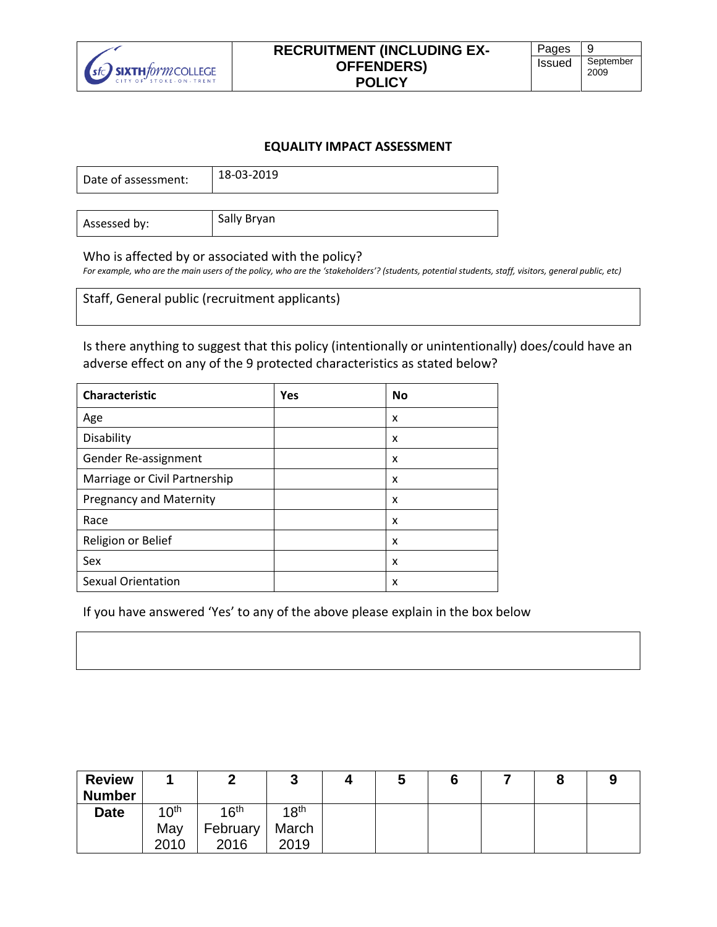

#### **EQUALITY IMPACT ASSESSMENT**

| Date of assessment: | 18-03-2019 |
|---------------------|------------|
|                     |            |

Assessed by: Sally Bryan

#### Who is affected by or associated with the policy?

*For example, who are the main users of the policy, who are the 'stakeholders'? (students, potential students, staff, visitors, general public, etc)*

Staff, General public (recruitment applicants)

Is there anything to suggest that this policy (intentionally or unintentionally) does/could have an adverse effect on any of the 9 protected characteristics as stated below?

| <b>Characteristic</b>          | <b>Yes</b> | <b>No</b> |
|--------------------------------|------------|-----------|
| Age                            |            | x         |
| Disability                     |            | x         |
| Gender Re-assignment           |            | x         |
| Marriage or Civil Partnership  |            | x         |
| <b>Pregnancy and Maternity</b> |            | x         |
| Race                           |            | x         |
| Religion or Belief             |            | x         |
| Sex                            |            | x         |
| <b>Sexual Orientation</b>      |            | x         |

If you have answered 'Yes' to any of the above please explain in the box below

| <b>Review</b> |                  | m<br>∸           | ø<br>ν           | ν |  |  |
|---------------|------------------|------------------|------------------|---|--|--|
| <b>Number</b> |                  |                  |                  |   |  |  |
| <b>Date</b>   | 10 <sup>th</sup> | 16 <sup>th</sup> | 18 <sup>th</sup> |   |  |  |
|               | May              | February         | March            |   |  |  |
|               | 2010             | 2016             | 2019             |   |  |  |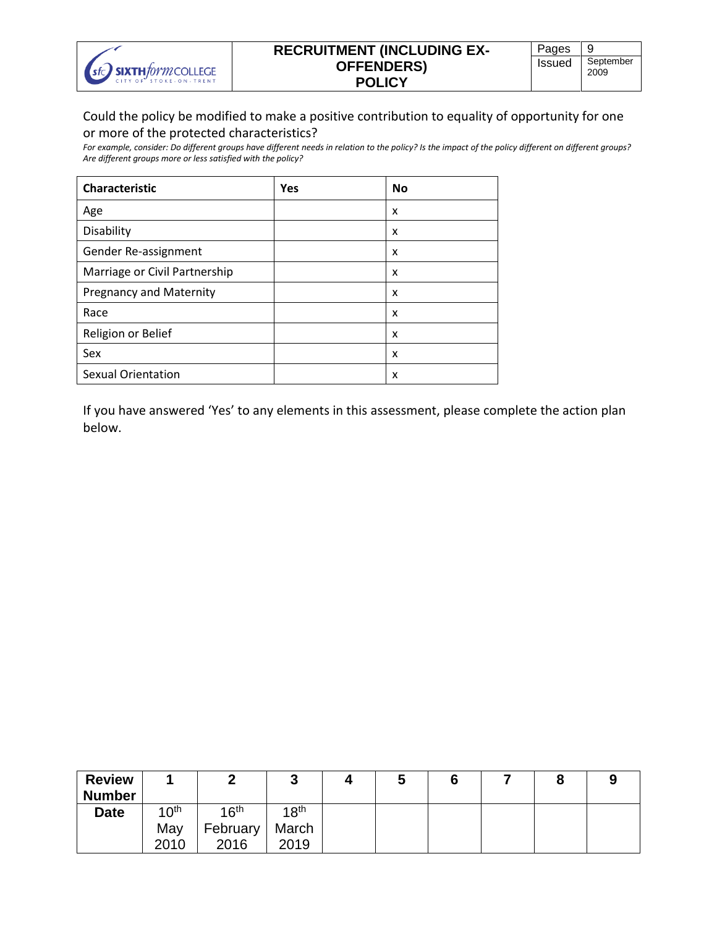

## **RECRUITMENT (INCLUDING EX-OFFENDERS) POLICY**

# Could the policy be modified to make a positive contribution to equality of opportunity for one or more of the protected characteristics?

*For example, consider: Do different groups have different needs in relation to the policy? Is the impact of the policy different on different groups? Are different groups more or less satisfied with the policy?*

| <b>Characteristic</b>          | Yes | No |
|--------------------------------|-----|----|
| Age                            |     | x  |
| Disability                     |     | X  |
| Gender Re-assignment           |     | X  |
| Marriage or Civil Partnership  |     | x  |
| <b>Pregnancy and Maternity</b> |     | X  |
| Race                           |     | X  |
| Religion or Belief             |     | x  |
| Sex                            |     | X  |
| <b>Sexual Orientation</b>      |     | x  |

If you have answered 'Yes' to any elements in this assessment, please complete the action plan below.

| <b>Review</b> |                  |                  | ν                |  |  |  |
|---------------|------------------|------------------|------------------|--|--|--|
| <b>Number</b> |                  |                  |                  |  |  |  |
| <b>Date</b>   | 10 <sup>th</sup> | 16 <sup>th</sup> | 18 <sup>th</sup> |  |  |  |
|               | May              | February         | March            |  |  |  |
|               | 2010             | 2016             | 2019             |  |  |  |